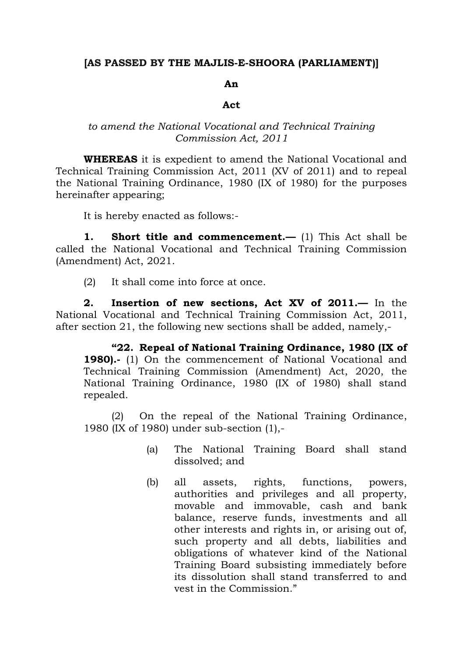## **[AS PASSED BY THE MAJLIS-E-SHOORA (PARLIAMENT)]**

## **An**

## **Act**

## *to amend the National Vocational and Technical Training Commission Act, 2011*

**WHEREAS** it is expedient to amend the National Vocational and Technical Training Commission Act, 2011 (XV of 2011) and to repeal the National Training Ordinance, 1980 (IX of 1980) for the purposes hereinafter appearing;

It is hereby enacted as follows:-

**1. Short title and commencement.—** (1) This Act shall be called the National Vocational and Technical Training Commission (Amendment) Act, 2021.

(2) It shall come into force at once.

**2. Insertion of new sections, Act XV of 2011.—** In the National Vocational and Technical Training Commission Act, 2011, after section 21, the following new sections shall be added, namely,-

**"22. Repeal of National Training Ordinance, 1980 (IX of 1980).**- (1) On the commencement of National Vocational and Technical Training Commission (Amendment) Act, 2020, the National Training Ordinance, 1980 (IX of 1980) shall stand repealed.

(2) On the repeal of the National Training Ordinance, 1980 (IX of 1980) under sub-section (1),-

- (a) The National Training Board shall stand dissolved; and
- (b) all assets, rights, functions, powers, authorities and privileges and all property, movable and immovable, cash and bank balance, reserve funds, investments and all other interests and rights in, or arising out of, such property and all debts, liabilities and obligations of whatever kind of the National Training Board subsisting immediately before its dissolution shall stand transferred to and vest in the Commission."